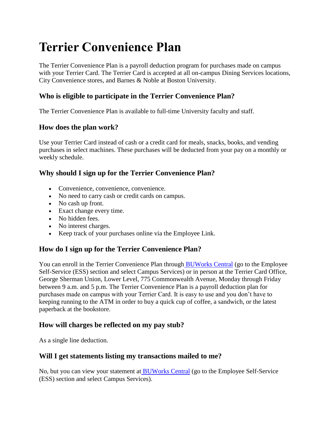# **Terrier Convenience Plan**

The Terrier Convenience Plan is a payroll deduction program for purchases made on campus with your Terrier Card. The Terrier Card is accepted at all on-campus Dining Services locations, City Convenience stores, and Barnes & Noble at Boston University.

## **Who is eligible to participate in the Terrier Convenience Plan?**

The Terrier Convenience Plan is available to full-time University faculty and staff.

### **How does the plan work?**

Use your Terrier Card instead of cash or a credit card for meals, snacks, books, and vending purchases in select machines. These purchases will be deducted from your pay on a monthly or weekly schedule.

## **Why should I sign up for the Terrier Convenience Plan?**

- Convenience, convenience, convenience.
- No need to carry cash or credit cards on campus.
- No cash up front.
- Exact change every time.
- No hidden fees.
- No interest charges.
- Keep track of your purchases online via the Employee Link.

## **How do I sign up for the Terrier Convenience Plan?**

You can enroll in the Terrier Convenience Plan through [BUWorks Central](https://www.bu.edu/link/bin/uiscgi_employeelink_transition.pl?ModuleName=terrier_convenience_plan%2Fterrier_convenience_plan_enroll.pl) (go to the Employee Self-Service (ESS) section and select Campus Services) or in person at the Terrier Card Office, George Sherman Union, Lower Level, 775 Commonwealth Avenue, Monday through Friday between 9 a.m. and 5 p.m. The Terrier Convenience Plan is a payroll deduction plan for purchases made on campus with your Terrier Card. It is easy to use and you don't have to keeping running to the ATM in order to buy a quick cup of coffee, a sandwich, or the latest paperback at the bookstore.

## **How will charges be reflected on my pay stub?**

As a single line deduction.

#### **Will I get statements listing my transactions mailed to me?**

No, but you can view your statement at [BUWorks Central](https://www.bu.edu/link/bin/uiscgi_employeelink_transition.pl?ModuleName=terrier_convenience_plan%2Fterrier_convenience_plan_enroll.pl) (go to the Employee Self-Service (ESS) section and select Campus Services).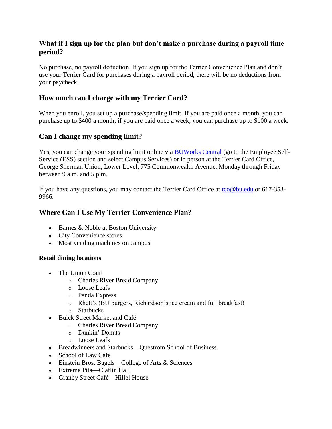## **What if I sign up for the plan but don't make a purchase during a payroll time period?**

No purchase, no payroll deduction. If you sign up for the Terrier Convenience Plan and don't use your Terrier Card for purchases during a payroll period, there will be no deductions from your paycheck.

## **How much can I charge with my Terrier Card?**

When you enroll, you set up a purchase/spending limit. If you are paid once a month, you can purchase up to \$400 a month; if you are paid once a week, you can purchase up to \$100 a week.

### **Can I change my spending limit?**

Yes, you can change your spending limit online via **[BUWorks Central](https://www.bu.edu/link/bin/uiscgi_employeelink_transition.pl?ModuleName=terrier_convenience_plan%2Fterrier_convenience_plan_enroll.pl)** (go to the Employee Self-Service (ESS) section and select Campus Services) or in person at the Terrier Card Office, George Sherman Union, Lower Level, 775 Commonwealth Avenue, Monday through Friday between 9 a.m. and 5 p.m.

If you have any questions, you may contact the Terrier Card Office at [tco@bu.edu](mailto:tco@bu.edu) or 617-353-9966.

## **Where Can I Use My Terrier Convenience Plan?**

- $\bullet$  Barnes & Noble at Boston University
- City Convenience stores
- Most vending machines on campus

#### **Retail dining locations**

- The Union Court
	- o Charles River Bread Company
	- o Loose Leafs
	- o Panda Express
	- o Rhett's (BU burgers, Richardson's ice cream and full breakfast)
	- o Starbucks
- Buick Street Market and Café
	- o Charles River Bread Company
	- o Dunkin' Donuts
	- o Loose Leafs
- Breadwinners and Starbucks—Questrom School of Business
- School of Law Café
- Einstein Bros. Bagels—College of Arts & Sciences
- Extreme Pita—Claflin Hall
- Granby Street Café—Hillel House